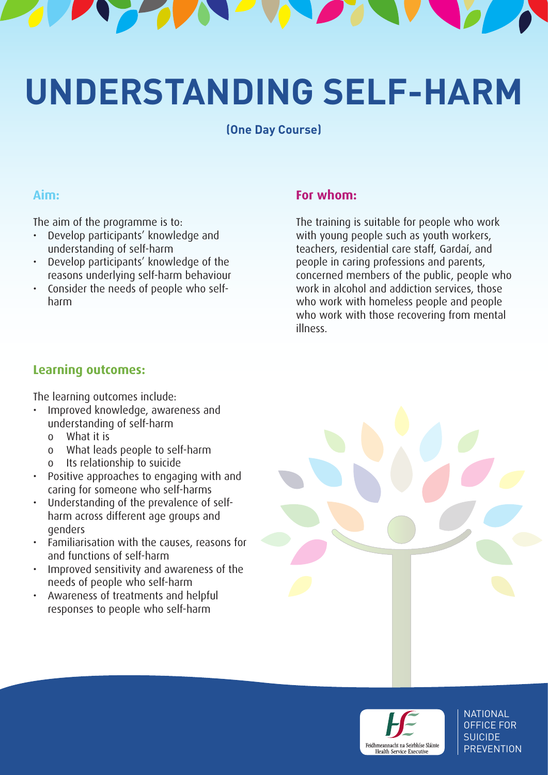

# **UNDERSTANDING SELF-HARM**

**(One Day Course)**

#### **Aim:**

The aim of the programme is to:

- Develop participants' knowledge and understanding of self-harm
- Develop participants' knowledge of the reasons underlying self-harm behaviour
- Consider the needs of people who selfharm

#### **For whom:**

The training is suitable for people who work with young people such as youth workers, teachers, residential care staff, Gardaí, and people in caring professions and parents, concerned members of the public, people who work in alcohol and addiction services, those who work with homeless people and people who work with those recovering from mental illness.

## **Learning outcomes:**

The learning outcomes include:

- Improved knowledge, awareness and understanding of self-harm
	- o What it is
	- o What leads people to self-harm
	- o Its relationship to suicide
- Positive approaches to engaging with and caring for someone who self-harms
- Understanding of the prevalence of selfharm across different age groups and genders
- Familiarisation with the causes, reasons for and functions of self-harm
- Improved sensitivity and awareness of the needs of people who self-harm
- Awareness of treatments and helpful responses to people who self-harm





**NATIONAL** OFFICE FOR SUICIDE **PREVENTION**